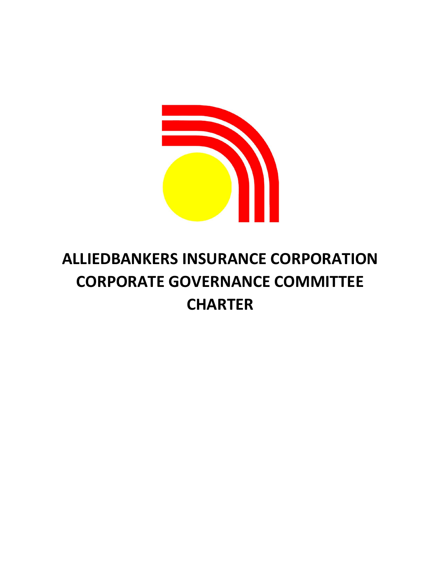

# ALLIEDBANKERS INSURANCE CORPORATION CORPORATE GOVERNANCE COMMITTEE **CHARTER**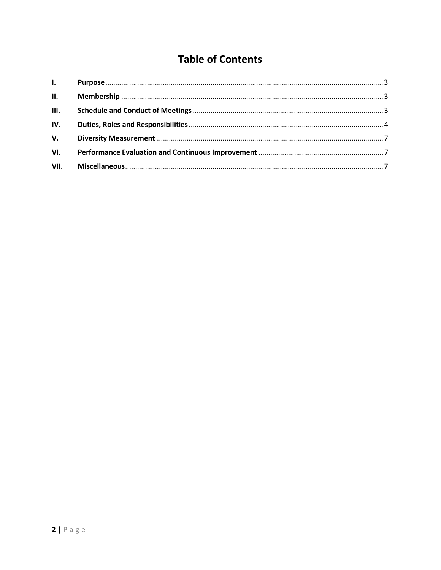# **Table of Contents**

| $\mathbf{L}$ and $\mathbf{L}$ |  |
|-------------------------------|--|
| II.                           |  |
| III.                          |  |
| IV.                           |  |
| V.                            |  |
| VI.                           |  |
| VII.                          |  |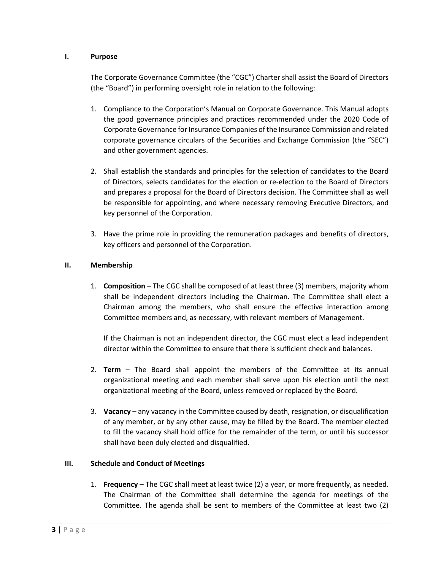#### I. Purpose

The Corporate Governance Committee (the "CGC") Charter shall assist the Board of Directors (the "Board") in performing oversight role in relation to the following:

- 1. Compliance to the Corporation's Manual on Corporate Governance. This Manual adopts the good governance principles and practices recommended under the 2020 Code of Corporate Governance for Insurance Companies of the Insurance Commission and related corporate governance circulars of the Securities and Exchange Commission (the "SEC") and other government agencies.
- 2. Shall establish the standards and principles for the selection of candidates to the Board of Directors, selects candidates for the election or re-election to the Board of Directors and prepares a proposal for the Board of Directors decision. The Committee shall as well be responsible for appointing, and where necessary removing Executive Directors, and key personnel of the Corporation.
- 3. Have the prime role in providing the remuneration packages and benefits of directors, key officers and personnel of the Corporation.

# II. Membership

1. Composition – The CGC shall be composed of at least three (3) members, majority whom shall be independent directors including the Chairman. The Committee shall elect a Chairman among the members, who shall ensure the effective interaction among Committee members and, as necessary, with relevant members of Management.

If the Chairman is not an independent director, the CGC must elect a lead independent director within the Committee to ensure that there is sufficient check and balances.

- 2. Term The Board shall appoint the members of the Committee at its annual organizational meeting and each member shall serve upon his election until the next organizational meeting of the Board, unless removed or replaced by the Board.
- 3. Vacancy any vacancy in the Committee caused by death, resignation, or disqualification of any member, or by any other cause, may be filled by the Board. The member elected to fill the vacancy shall hold office for the remainder of the term, or until his successor shall have been duly elected and disqualified.

# III. Schedule and Conduct of Meetings

1. Frequency – The CGC shall meet at least twice (2) a year, or more frequently, as needed. The Chairman of the Committee shall determine the agenda for meetings of the Committee. The agenda shall be sent to members of the Committee at least two (2)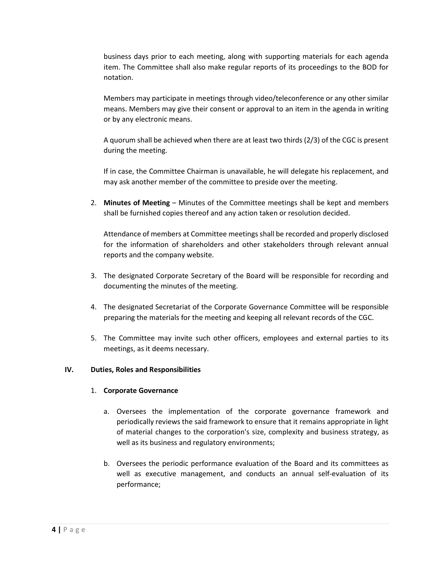business days prior to each meeting, along with supporting materials for each agenda item. The Committee shall also make regular reports of its proceedings to the BOD for notation.

Members may participate in meetings through video/teleconference or any other similar means. Members may give their consent or approval to an item in the agenda in writing or by any electronic means.

A quorum shall be achieved when there are at least two thirds (2/3) of the CGC is present during the meeting.

If in case, the Committee Chairman is unavailable, he will delegate his replacement, and may ask another member of the committee to preside over the meeting.

2. Minutes of Meeting – Minutes of the Committee meetings shall be kept and members shall be furnished copies thereof and any action taken or resolution decided.

Attendance of members at Committee meetings shall be recorded and properly disclosed for the information of shareholders and other stakeholders through relevant annual reports and the company website.

- 3. The designated Corporate Secretary of the Board will be responsible for recording and documenting the minutes of the meeting.
- 4. The designated Secretariat of the Corporate Governance Committee will be responsible preparing the materials for the meeting and keeping all relevant records of the CGC.
- 5. The Committee may invite such other officers, employees and external parties to its meetings, as it deems necessary.

# IV. Duties, Roles and Responsibilities

#### 1. Corporate Governance

- a. Oversees the implementation of the corporate governance framework and periodically reviews the said framework to ensure that it remains appropriate in light of material changes to the corporation's size, complexity and business strategy, as well as its business and regulatory environments;
- b. Oversees the periodic performance evaluation of the Board and its committees as well as executive management, and conducts an annual self-evaluation of its performance;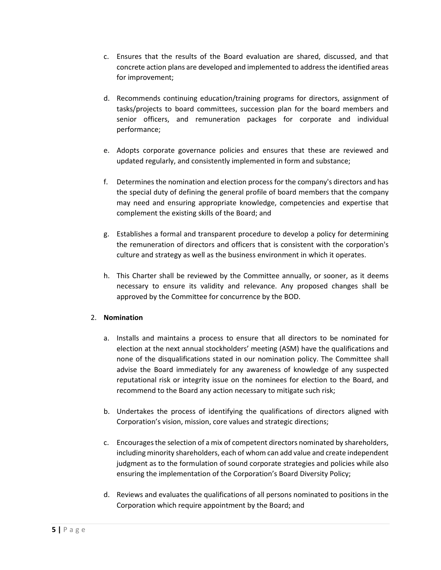- c. Ensures that the results of the Board evaluation are shared, discussed, and that concrete action plans are developed and implemented to address the identified areas for improvement;
- d. Recommends continuing education/training programs for directors, assignment of tasks/projects to board committees, succession plan for the board members and senior officers, and remuneration packages for corporate and individual performance;
- e. Adopts corporate governance policies and ensures that these are reviewed and updated regularly, and consistently implemented in form and substance;
- f. Determines the nomination and election process for the company's directors and has the special duty of defining the general profile of board members that the company may need and ensuring appropriate knowledge, competencies and expertise that complement the existing skills of the Board; and
- g. Establishes a formal and transparent procedure to develop a policy for determining the remuneration of directors and officers that is consistent with the corporation's culture and strategy as well as the business environment in which it operates.
- h. This Charter shall be reviewed by the Committee annually, or sooner, as it deems necessary to ensure its validity and relevance. Any proposed changes shall be approved by the Committee for concurrence by the BOD.

# 2. Nomination

- a. Installs and maintains a process to ensure that all directors to be nominated for election at the next annual stockholders' meeting (ASM) have the qualifications and none of the disqualifications stated in our nomination policy. The Committee shall advise the Board immediately for any awareness of knowledge of any suspected reputational risk or integrity issue on the nominees for election to the Board, and recommend to the Board any action necessary to mitigate such risk;
- b. Undertakes the process of identifying the qualifications of directors aligned with Corporation's vision, mission, core values and strategic directions;
- c. Encourages the selection of a mix of competent directors nominated by shareholders, including minority shareholders, each of whom can add value and create independent judgment as to the formulation of sound corporate strategies and policies while also ensuring the implementation of the Corporation's Board Diversity Policy;
- d. Reviews and evaluates the qualifications of all persons nominated to positions in the Corporation which require appointment by the Board; and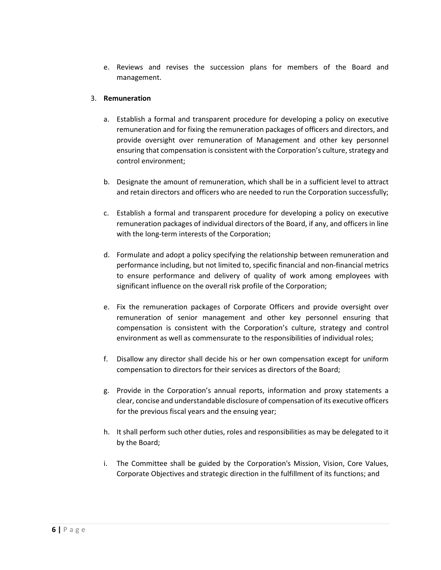e. Reviews and revises the succession plans for members of the Board and management.

#### 3. Remuneration

- a. Establish a formal and transparent procedure for developing a policy on executive remuneration and for fixing the remuneration packages of officers and directors, and provide oversight over remuneration of Management and other key personnel ensuring that compensation is consistent with the Corporation's culture, strategy and control environment;
- b. Designate the amount of remuneration, which shall be in a sufficient level to attract and retain directors and officers who are needed to run the Corporation successfully;
- c. Establish a formal and transparent procedure for developing a policy on executive remuneration packages of individual directors of the Board, if any, and officers in line with the long-term interests of the Corporation;
- d. Formulate and adopt a policy specifying the relationship between remuneration and performance including, but not limited to, specific financial and non-financial metrics to ensure performance and delivery of quality of work among employees with significant influence on the overall risk profile of the Corporation;
- e. Fix the remuneration packages of Corporate Officers and provide oversight over remuneration of senior management and other key personnel ensuring that compensation is consistent with the Corporation's culture, strategy and control environment as well as commensurate to the responsibilities of individual roles;
- f. Disallow any director shall decide his or her own compensation except for uniform compensation to directors for their services as directors of the Board;
- g. Provide in the Corporation's annual reports, information and proxy statements a clear, concise and understandable disclosure of compensation of its executive officers for the previous fiscal years and the ensuing year;
- h. It shall perform such other duties, roles and responsibilities as may be delegated to it by the Board;
- i. The Committee shall be guided by the Corporation's Mission, Vision, Core Values, Corporate Objectives and strategic direction in the fulfillment of its functions; and